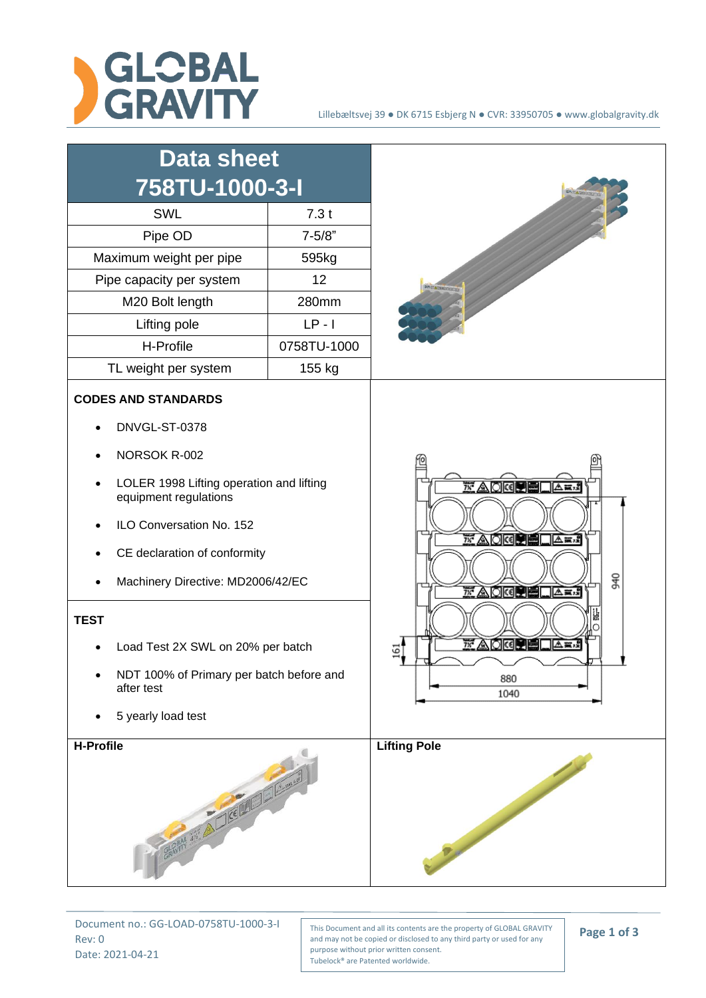

| <b>Data sheet</b><br>758TU-1000-3-I                                                                                                                                                                                                                                                                                                                                   |             |                                                                                                                                                                                                 |
|-----------------------------------------------------------------------------------------------------------------------------------------------------------------------------------------------------------------------------------------------------------------------------------------------------------------------------------------------------------------------|-------------|-------------------------------------------------------------------------------------------------------------------------------------------------------------------------------------------------|
| SWL                                                                                                                                                                                                                                                                                                                                                                   | 7.3t        |                                                                                                                                                                                                 |
| Pipe OD                                                                                                                                                                                                                                                                                                                                                               | $7 - 5/8"$  |                                                                                                                                                                                                 |
| Maximum weight per pipe                                                                                                                                                                                                                                                                                                                                               | 595kg       |                                                                                                                                                                                                 |
| Pipe capacity per system                                                                                                                                                                                                                                                                                                                                              | 12          |                                                                                                                                                                                                 |
| M20 Bolt length                                                                                                                                                                                                                                                                                                                                                       | 280mm       |                                                                                                                                                                                                 |
| Lifting pole                                                                                                                                                                                                                                                                                                                                                          | $LP - I$    |                                                                                                                                                                                                 |
| H-Profile                                                                                                                                                                                                                                                                                                                                                             | 0758TU-1000 |                                                                                                                                                                                                 |
| TL weight per system                                                                                                                                                                                                                                                                                                                                                  | 155 kg      |                                                                                                                                                                                                 |
| <b>CODES AND STANDARDS</b><br>DNVGL-ST-0378<br>NORSOK R-002<br>LOLER 1998 Lifting operation and lifting<br>equipment regulations<br>ILO Conversation No. 152<br>CE declaration of conformity<br>Machinery Directive: MD2006/42/EC<br><b>TEST</b><br>Load Test 2X SWL on 20% per batch<br>NDT 100% of Primary per batch before and<br>after test<br>5 yearly load test |             | $\overline{N}$ A D K $\overline{N}$<br>┃△ਢਾ<br><b>7% AIOKOPELA 3.2</b><br>940<br>$\overline{x}$ a drap<br><b>A</b> mi<br>$\overline{7x}$ A<br><b>Tolkel Die B</b><br>  △蒙成<br>2.<br>880<br>1040 |
| H-Profile<br>GRAPHY 33" ALICE LA LACE                                                                                                                                                                                                                                                                                                                                 |             | <b>Lifting Pole</b><br>Proposition of                                                                                                                                                           |

Document no.: GG-LOAD-0758TU-1000-3-I Rev: 0 Date: 2021-04-21

This Document and all its contents are the property of GLOBAL GRAVITY and may not be copied or disclosed to any third party or used for any purpose without prior written consent. Tubelock® are Patented worldwide.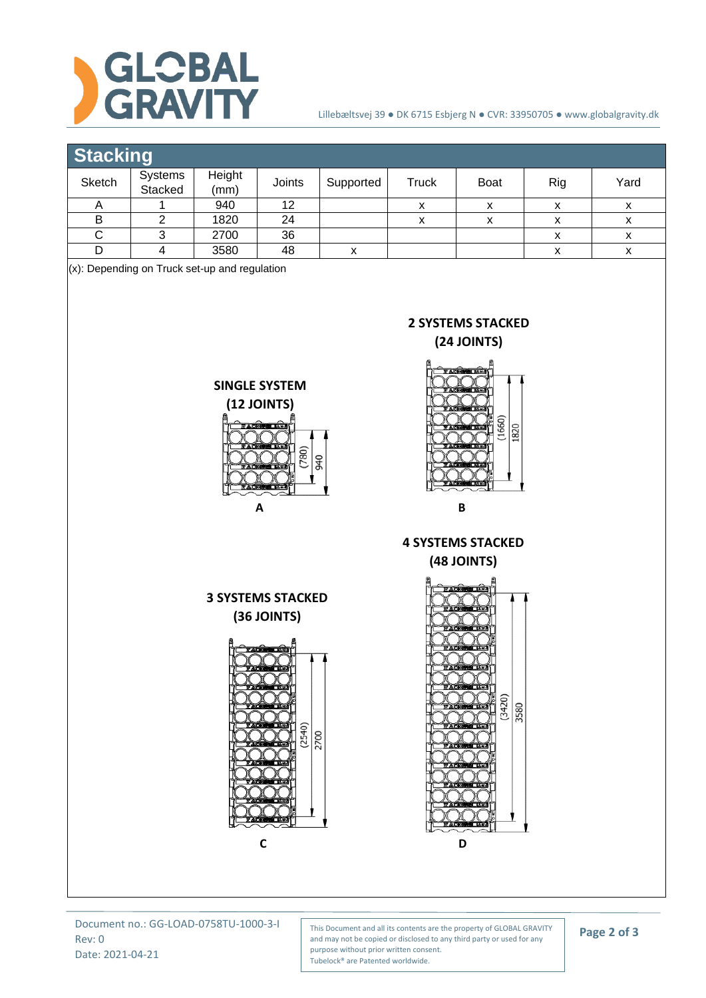

## Lillebæltsvej 39 ● DK 6715 Esbjerg N ● CVR: 33950705 ● www.globalgravity.dk

## **Stacking**

| _________ |                    |                |        |           |        |             |     |      |  |
|-----------|--------------------|----------------|--------|-----------|--------|-------------|-----|------|--|
| Sketch    | Systems<br>Stacked | Height<br>(mm) | Joints | Supported | Truck  | <b>Boat</b> | Rig | Yard |  |
|           |                    | 940            | 12     |           | v<br>⋏ |             |     | ́    |  |
|           |                    | 1820           | 24     |           | ⋏      |             |     | ́    |  |
|           |                    | 2700           | 36     |           |        |             |     | ́    |  |
|           |                    | 3580           | 48     |           |        |             |     | ́    |  |

(x): Depending on Truck set-up and regulation



Document no.: GG-LOAD-0758TU-1000-3-I Rev: 0 Date: 2021-04-21

This Document and all its contents are the property of GLOBAL GRAVITY and may not be copied or disclosed to any third party or used for any purpose without prior written consent. Tubelock® are Patented worldwide.